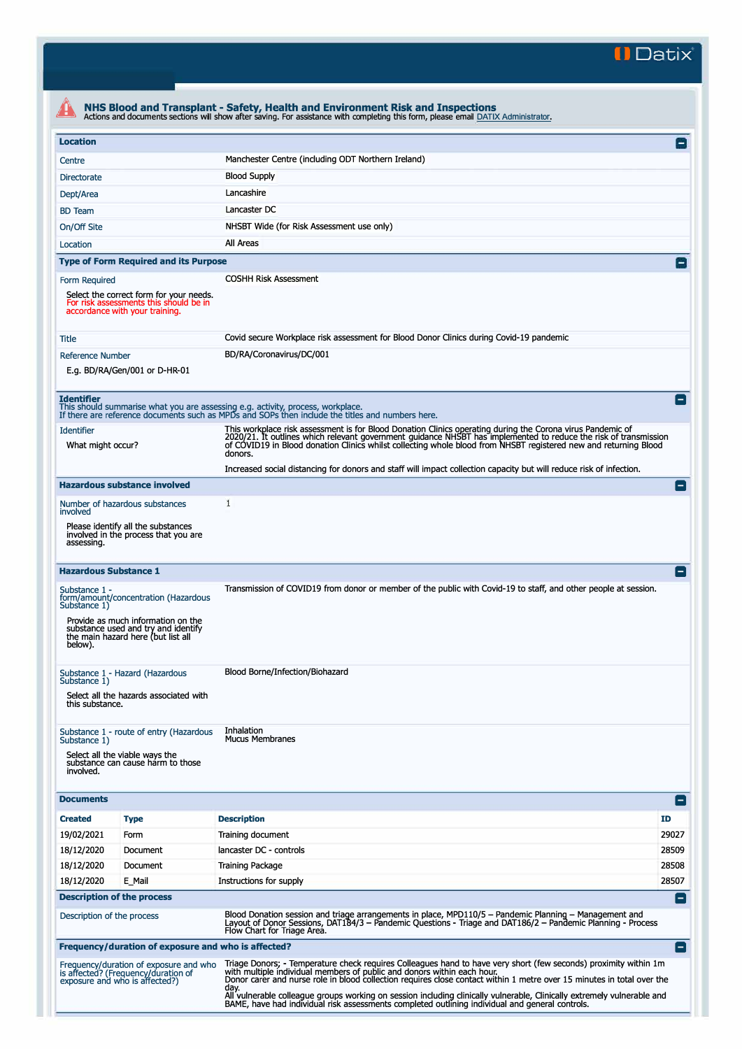**II Datix"** 

|                                                                                                                                                                                                     |                                                                                                                     | NHS Blood and Transplant - Safety, Health and Environment Risk and Inspections<br>Actions and documents sections will show after saving. For assistance with completing this form, please email DATIX Administrator.                                                                                                                                                                                                                                     |                 |  |  |  |
|-----------------------------------------------------------------------------------------------------------------------------------------------------------------------------------------------------|---------------------------------------------------------------------------------------------------------------------|----------------------------------------------------------------------------------------------------------------------------------------------------------------------------------------------------------------------------------------------------------------------------------------------------------------------------------------------------------------------------------------------------------------------------------------------------------|-----------------|--|--|--|
| <b>Location</b>                                                                                                                                                                                     |                                                                                                                     |                                                                                                                                                                                                                                                                                                                                                                                                                                                          | $\vert - \vert$ |  |  |  |
| Centre                                                                                                                                                                                              |                                                                                                                     | Manchester Centre (including ODT Northern Ireland)                                                                                                                                                                                                                                                                                                                                                                                                       |                 |  |  |  |
| Directorate                                                                                                                                                                                         |                                                                                                                     | <b>Blood Supply</b>                                                                                                                                                                                                                                                                                                                                                                                                                                      |                 |  |  |  |
| Dept/Area                                                                                                                                                                                           |                                                                                                                     | Lancashire                                                                                                                                                                                                                                                                                                                                                                                                                                               |                 |  |  |  |
| <b>BD</b> Team                                                                                                                                                                                      |                                                                                                                     | Lancaster DC                                                                                                                                                                                                                                                                                                                                                                                                                                             |                 |  |  |  |
| On/Off Site                                                                                                                                                                                         |                                                                                                                     | NHSBT Wide (for Risk Assessment use only)                                                                                                                                                                                                                                                                                                                                                                                                                |                 |  |  |  |
| Location                                                                                                                                                                                            |                                                                                                                     | All Areas                                                                                                                                                                                                                                                                                                                                                                                                                                                |                 |  |  |  |
|                                                                                                                                                                                                     | <b>Type of Form Required and its Purpose</b>                                                                        |                                                                                                                                                                                                                                                                                                                                                                                                                                                          | $\vert - \vert$ |  |  |  |
| Form Required                                                                                                                                                                                       |                                                                                                                     | <b>COSHH Risk Assessment</b>                                                                                                                                                                                                                                                                                                                                                                                                                             |                 |  |  |  |
|                                                                                                                                                                                                     | Select the correct form for your needs.<br>For risk assessments this should be in<br>accordance with your training. |                                                                                                                                                                                                                                                                                                                                                                                                                                                          |                 |  |  |  |
| <b>Title</b>                                                                                                                                                                                        |                                                                                                                     | Covid secure Workplace risk assessment for Blood Donor Clinics during Covid-19 pandemic                                                                                                                                                                                                                                                                                                                                                                  |                 |  |  |  |
| <b>Reference Number</b>                                                                                                                                                                             | E.g. BD/RA/Gen/001 or D-HR-01                                                                                       | BD/RA/Coronavirus/DC/001                                                                                                                                                                                                                                                                                                                                                                                                                                 |                 |  |  |  |
| <b>Identifier</b>                                                                                                                                                                                   |                                                                                                                     | This should summarise what you are assessing e.g. activity, process, workplace.<br>If there are reference documents such as MPDs and SOPs then include the titles and numbers here.                                                                                                                                                                                                                                                                      | $\blacksquare$  |  |  |  |
| <b>Identifier</b><br>What might occur?                                                                                                                                                              |                                                                                                                     | This workplace risk assessment is for Blood Donation Clinics operating during the Corona virus Pandemic of<br>2020/21. It outlines which relevant government guidance NHSBT has implemented to reduce the risk of transmission<br>of COVID19 in Blood donation Clinics whilst collecting whole blood from NHSBT registered new and returning Blood<br>donors.                                                                                            |                 |  |  |  |
|                                                                                                                                                                                                     |                                                                                                                     | Increased social distancing for donors and staff will impact collection capacity but will reduce risk of infection.                                                                                                                                                                                                                                                                                                                                      |                 |  |  |  |
|                                                                                                                                                                                                     | <b>Hazardous substance involved</b>                                                                                 |                                                                                                                                                                                                                                                                                                                                                                                                                                                          | н.              |  |  |  |
| Number of hazardous substances<br>involved                                                                                                                                                          |                                                                                                                     | 1                                                                                                                                                                                                                                                                                                                                                                                                                                                        |                 |  |  |  |
| assessing.                                                                                                                                                                                          | Please identify all the substances<br>involved in the process that you are                                          |                                                                                                                                                                                                                                                                                                                                                                                                                                                          |                 |  |  |  |
| <b>Hazardous Substance 1</b>                                                                                                                                                                        |                                                                                                                     |                                                                                                                                                                                                                                                                                                                                                                                                                                                          |                 |  |  |  |
| Substance 1 -<br>form/amount/concentration (Hazardous<br>Substance 1)<br>Provide as much information on the<br>substance used and try and identify<br>the main hazard here (but list all<br>below). |                                                                                                                     | Transmission of COVID19 from donor or member of the public with Covid-19 to staff, and other people at session.                                                                                                                                                                                                                                                                                                                                          |                 |  |  |  |
| Substance 1 - Hazard (Hazardous<br>Substance 1)<br>Select all the hazards associated with<br>this substance.                                                                                        |                                                                                                                     | Blood Borne/Infection/Biohazard                                                                                                                                                                                                                                                                                                                                                                                                                          |                 |  |  |  |
| Substance 1)<br>involved.                                                                                                                                                                           | Substance 1 - route of entry (Hazardous<br>Select all the viable ways the<br>substance can cause harm to those      | Inhalation<br><b>Mucus Membranes</b>                                                                                                                                                                                                                                                                                                                                                                                                                     |                 |  |  |  |
| <b>Documents</b>                                                                                                                                                                                    |                                                                                                                     |                                                                                                                                                                                                                                                                                                                                                                                                                                                          | $\mathsf{I}$    |  |  |  |
| <b>Created</b>                                                                                                                                                                                      | <b>Type</b>                                                                                                         | <b>Description</b>                                                                                                                                                                                                                                                                                                                                                                                                                                       | ID              |  |  |  |
| 19/02/2021                                                                                                                                                                                          | Form                                                                                                                | Training document                                                                                                                                                                                                                                                                                                                                                                                                                                        | 29027           |  |  |  |
| 18/12/2020                                                                                                                                                                                          | Document                                                                                                            | lancaster DC - controls                                                                                                                                                                                                                                                                                                                                                                                                                                  | 28509           |  |  |  |
| 18/12/2020                                                                                                                                                                                          | Document                                                                                                            | Training Package                                                                                                                                                                                                                                                                                                                                                                                                                                         | 28508           |  |  |  |
| 18/12/2020                                                                                                                                                                                          | E_Mail                                                                                                              | Instructions for supply                                                                                                                                                                                                                                                                                                                                                                                                                                  | 28507           |  |  |  |
| <b>Description of the process</b>                                                                                                                                                                   |                                                                                                                     |                                                                                                                                                                                                                                                                                                                                                                                                                                                          | $\blacksquare$  |  |  |  |
| Description of the process                                                                                                                                                                          |                                                                                                                     | Blood Donation session and triage arrangements in place, MPD110/5 - Pandemic Planning - Management and<br>Layout of Donor Sessions, DAT184/3 – Pandemic Questions - Triage and DAT186/2 – Pandemic Planning - Process<br>Flow Chart for Triage Area.                                                                                                                                                                                                     |                 |  |  |  |
|                                                                                                                                                                                                     | Frequency/duration of exposure and who is affected?                                                                 |                                                                                                                                                                                                                                                                                                                                                                                                                                                          | $\blacksquare$  |  |  |  |
|                                                                                                                                                                                                     | Frequency/duration of exposure and who<br>is affected? (Frequency/duration of<br>exposure and who is affected?)     | Triage Donors; - Temperature check requires Colleagues hand to have very short (few seconds) proximity within 1m<br>with multiple individual members of public and donors within each hour.<br>Donor carer and nurse role in blood collection requires close contact within 1 metre over 15 minutes in total over the<br>day.<br>All vulnerable colleague groups working on session including clinically vulnerable, Clinically extremely vulnerable and |                 |  |  |  |
|                                                                                                                                                                                                     |                                                                                                                     | BAME, have had individual risk assessments completed outlining individual and general controls.                                                                                                                                                                                                                                                                                                                                                          |                 |  |  |  |